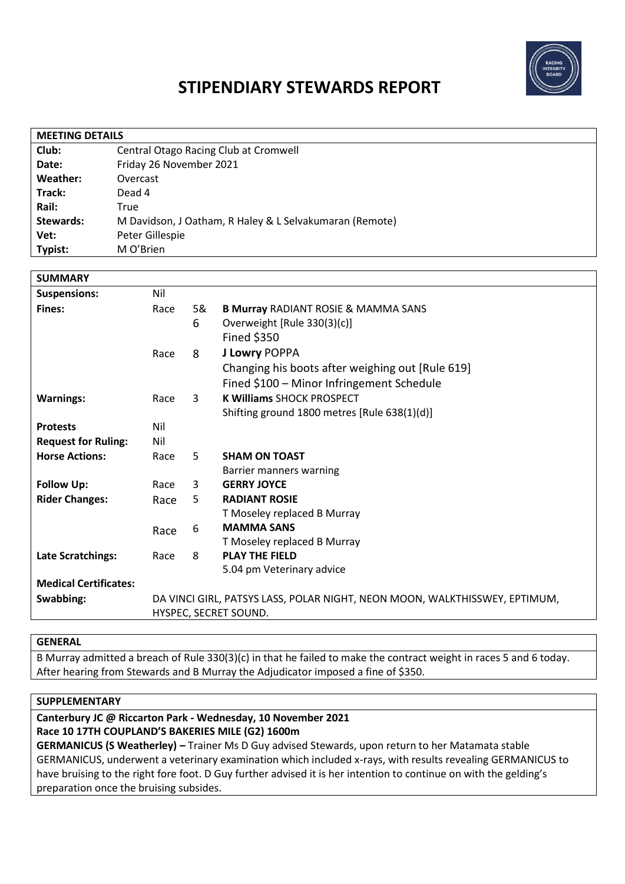

# **STIPENDIARY STEWARDS REPORT**

| <b>MEETING DETAILS</b> |                                                         |  |  |
|------------------------|---------------------------------------------------------|--|--|
| Club:                  | Central Otago Racing Club at Cromwell                   |  |  |
| Date:                  | Friday 26 November 2021                                 |  |  |
| Weather:               | Overcast                                                |  |  |
| Track:                 | Dead 4                                                  |  |  |
| Rail:                  | True                                                    |  |  |
| Stewards:              | M Davidson, J Oatham, R Haley & L Selvakumaran (Remote) |  |  |
| Vet:                   | Peter Gillespie                                         |  |  |
| Typist:                | M O'Brien                                               |  |  |

| <b>SUMMARY</b>               |                                                                            |              |                                                  |
|------------------------------|----------------------------------------------------------------------------|--------------|--------------------------------------------------|
| <b>Suspensions:</b>          | Nil                                                                        |              |                                                  |
| Fines:                       | Race                                                                       | 5&           | <b>B Murray RADIANT ROSIE &amp; MAMMA SANS</b>   |
|                              |                                                                            | 6            | Overweight [Rule 330(3)(c)]                      |
|                              |                                                                            |              | <b>Fined \$350</b>                               |
|                              | Race                                                                       | 8            | <b>J Lowry POPPA</b>                             |
|                              |                                                                            |              | Changing his boots after weighing out [Rule 619] |
|                              |                                                                            |              | Fined \$100 - Minor Infringement Schedule        |
| <b>Warnings:</b>             | Race                                                                       | $\mathbf{3}$ | <b>K Williams SHOCK PROSPECT</b>                 |
|                              |                                                                            |              | Shifting ground 1800 metres [Rule 638(1)(d)]     |
| <b>Protests</b>              | Nil                                                                        |              |                                                  |
| <b>Request for Ruling:</b>   | Nil                                                                        |              |                                                  |
| <b>Horse Actions:</b>        | Race                                                                       | 5.           | <b>SHAM ON TOAST</b>                             |
|                              |                                                                            |              | Barrier manners warning                          |
| <b>Follow Up:</b>            | Race                                                                       | 3            | <b>GERRY JOYCE</b>                               |
| <b>Rider Changes:</b>        | Race                                                                       | 5            | <b>RADIANT ROSIE</b>                             |
|                              |                                                                            |              | T Moseley replaced B Murray                      |
|                              | Race                                                                       | 6            | <b>MAMMA SANS</b>                                |
|                              |                                                                            |              | T Moseley replaced B Murray                      |
| <b>Late Scratchings:</b>     | Race                                                                       | 8            | <b>PLAY THE FIELD</b>                            |
|                              |                                                                            |              | 5.04 pm Veterinary advice                        |
| <b>Medical Certificates:</b> |                                                                            |              |                                                  |
| Swabbing:                    | DA VINCI GIRL, PATSYS LASS, POLAR NIGHT, NEON MOON, WALKTHISSWEY, EPTIMUM, |              |                                                  |
|                              | HYSPEC, SECRET SOUND.                                                      |              |                                                  |

### **GENERAL**

B Murray admitted a breach of Rule 330(3)(c) in that he failed to make the contract weight in races 5 and 6 today. After hearing from Stewards and B Murray the Adjudicator imposed a fine of \$350.

# **SUPPLEMENTARY**

### **Canterbury JC @ Riccarton Park - Wednesday, 10 November 2021 Race 10 17TH COUPLAND'S BAKERIES MILE (G2) 1600m**

**GERMANICUS (S Weatherley) –** Trainer Ms D Guy advised Stewards, upon return to her Matamata stable GERMANICUS, underwent a veterinary examination which included x-rays, with results revealing GERMANICUS to have bruising to the right fore foot. D Guy further advised it is her intention to continue on with the gelding's preparation once the bruising subsides.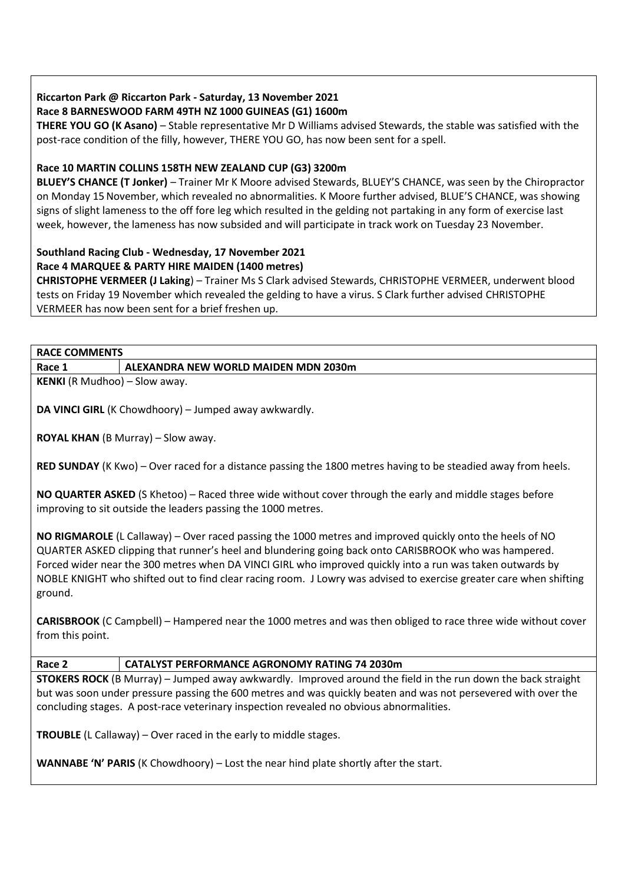#### **Riccarton Park @ Riccarton Park - Saturday, 13 November 2021 Race 8 BARNESWOOD FARM 49TH NZ 1000 GUINEAS (G1) 1600m**

**THERE YOU GO (K Asano)** – Stable representative Mr D Williams advised Stewards, the stable was satisfied with the post-race condition of the filly, however, THERE YOU GO, has now been sent for a spell.

# **Race 10 MARTIN COLLINS 158TH NEW ZEALAND CUP (G3) 3200m**

**BLUEY'S CHANCE (T Jonker)** – Trainer Mr K Moore advised Stewards, BLUEY'S CHANCE, was seen by the Chiropractor on Monday 15November, which revealed no abnormalities. K Moore further advised, BLUE'S CHANCE, was showing signs of slight lameness to the off fore leg which resulted in the gelding not partaking in any form of exercise last week, however, the lameness has now subsided and will participate in track work on Tuesday 23 November.

# **Southland Racing Club - Wednesday, 17 November 2021**

# **Race 4 MARQUEE & PARTY HIRE MAIDEN (1400 metres)**

**CHRISTOPHE VERMEER (J Laking**) – Trainer Ms S Clark advised Stewards, CHRISTOPHE VERMEER, underwent blood tests on Friday 19 November which revealed the gelding to have a virus. S Clark further advised CHRISTOPHE VERMEER has now been sent for a brief freshen up.

### **RACE COMMENTS**

**Race 1 ALEXANDRA NEW WORLD MAIDEN MDN 2030m**

**KENKI** (R Mudhoo) – Slow away.

**DA VINCI GIRL** (K Chowdhoory) – Jumped away awkwardly.

**ROYAL KHAN** (B Murray) – Slow away.

**RED SUNDAY** (K Kwo) – Over raced for a distance passing the 1800 metres having to be steadied away from heels.

**NO QUARTER ASKED** (S Khetoo) – Raced three wide without cover through the early and middle stages before improving to sit outside the leaders passing the 1000 metres.

**NO RIGMAROLE** (L Callaway) – Over raced passing the 1000 metres and improved quickly onto the heels of NO QUARTER ASKED clipping that runner's heel and blundering going back onto CARISBROOK who was hampered. Forced wider near the 300 metres when DA VINCI GIRL who improved quickly into a run was taken outwards by NOBLE KNIGHT who shifted out to find clear racing room. J Lowry was advised to exercise greater care when shifting ground.

**CARISBROOK** (C Campbell) – Hampered near the 1000 metres and was then obliged to race three wide without cover from this point.

# **Race 2 CATALYST PERFORMANCE AGRONOMY RATING 74 2030m**

**STOKERS ROCK** (B Murray) – Jumped away awkwardly. Improved around the field in the run down the back straight but was soon under pressure passing the 600 metres and was quickly beaten and was not persevered with over the concluding stages. A post-race veterinary inspection revealed no obvious abnormalities.

**TROUBLE** (L Callaway) – Over raced in the early to middle stages.

WANNABE 'N' PARIS (K Chowdhoory) – Lost the near hind plate shortly after the start.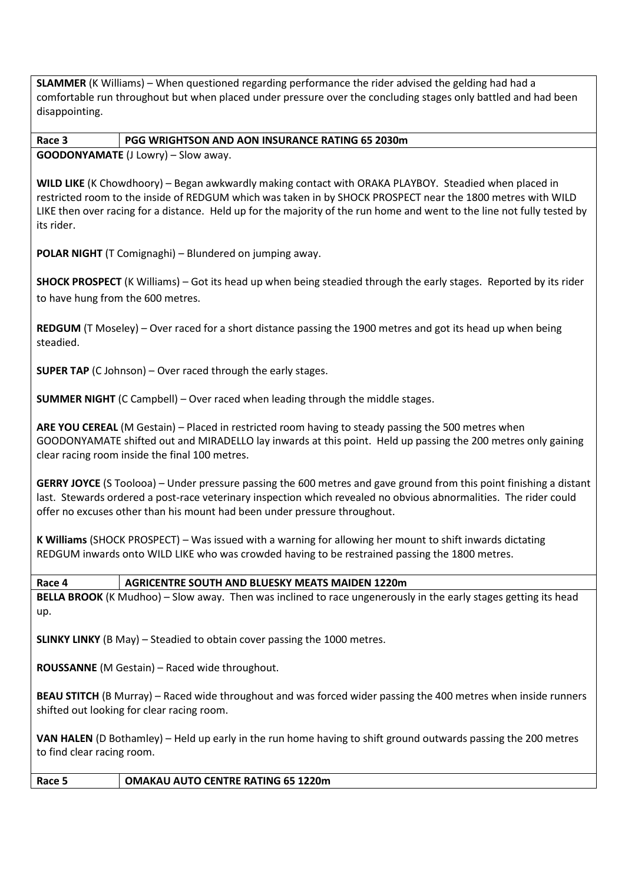**SLAMMER** (K Williams) – When questioned regarding performance the rider advised the gelding had had a comfortable run throughout but when placed under pressure over the concluding stages only battled and had been disappointing.

**Race 3 PGG WRIGHTSON AND AON INSURANCE RATING 65 2030m GOODONYAMATE** (J Lowry) – Slow away.

**WILD LIKE** (K Chowdhoory) – Began awkwardly making contact with ORAKA PLAYBOY. Steadied when placed in restricted room to the inside of REDGUM which was taken in by SHOCK PROSPECT near the 1800 metres with WILD LIKE then over racing for a distance. Held up for the majority of the run home and went to the line not fully tested by its rider.

**POLAR NIGHT** (T Comignaghi) – Blundered on jumping away.

**SHOCK PROSPECT** (K Williams) – Got its head up when being steadied through the early stages. Reported by its rider to have hung from the 600 metres.

**REDGUM** (T Moseley) – Over raced for a short distance passing the 1900 metres and got its head up when being steadied.

**SUPER TAP** (C Johnson) – Over raced through the early stages.

**SUMMER NIGHT** (C Campbell) – Over raced when leading through the middle stages.

**ARE YOU CEREAL** (M Gestain) – Placed in restricted room having to steady passing the 500 metres when GOODONYAMATE shifted out and MIRADELLO lay inwards at this point. Held up passing the 200 metres only gaining clear racing room inside the final 100 metres.

**GERRY JOYCE** (S Toolooa) – Under pressure passing the 600 metres and gave ground from this point finishing a distant last. Stewards ordered a post-race veterinary inspection which revealed no obvious abnormalities. The rider could offer no excuses other than his mount had been under pressure throughout.

**K Williams** (SHOCK PROSPECT) – Was issued with a warning for allowing her mount to shift inwards dictating REDGUM inwards onto WILD LIKE who was crowded having to be restrained passing the 1800 metres.

**Race 4 AGRICENTRE SOUTH AND BLUESKY MEATS MAIDEN 1220m**

**BELLA BROOK** (K Mudhoo) – Slow away. Then was inclined to race ungenerously in the early stages getting its head up.

**SLINKY LINKY** (B May) – Steadied to obtain cover passing the 1000 metres.

**ROUSSANNE** (M Gestain) – Raced wide throughout.

**BEAU STITCH** (B Murray) – Raced wide throughout and was forced wider passing the 400 metres when inside runners shifted out looking for clear racing room.

**VAN HALEN** (D Bothamley) – Held up early in the run home having to shift ground outwards passing the 200 metres to find clear racing room.

**Race 5 OMAKAU AUTO CENTRE RATING 65 1220m**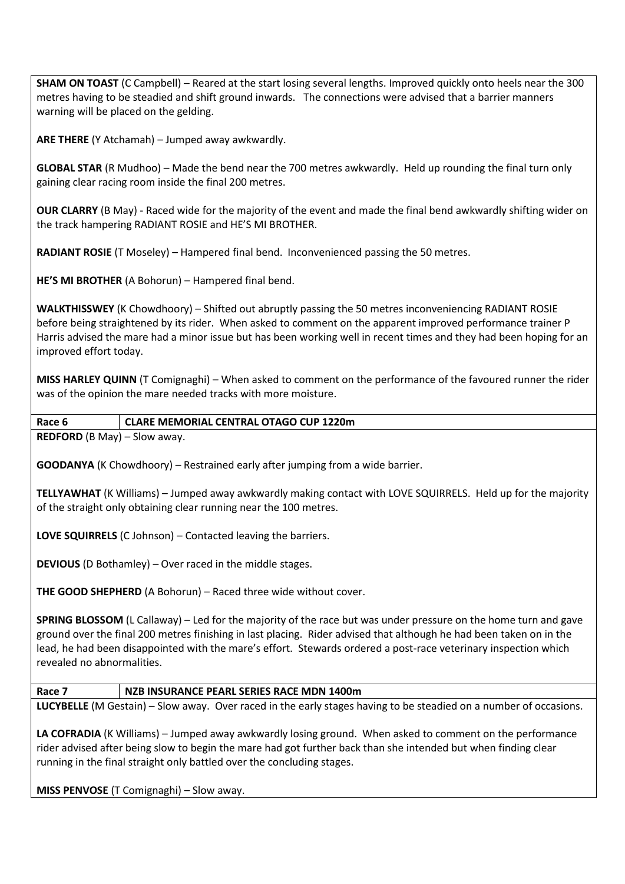**SHAM ON TOAST** (C Campbell) – Reared at the start losing several lengths. Improved quickly onto heels near the 300 metres having to be steadied and shift ground inwards. The connections were advised that a barrier manners warning will be placed on the gelding.

**ARE THERE** (Y Atchamah) – Jumped away awkwardly.

**GLOBAL STAR** (R Mudhoo) – Made the bend near the 700 metres awkwardly. Held up rounding the final turn only gaining clear racing room inside the final 200 metres.

**OUR CLARRY** (B May) - Raced wide for the majority of the event and made the final bend awkwardly shifting wider on the track hampering RADIANT ROSIE and HE'S MI BROTHER.

**RADIANT ROSIE** (T Moseley) – Hampered final bend. Inconvenienced passing the 50 metres.

**HE'S MI BROTHER** (A Bohorun) – Hampered final bend.

**WALKTHISSWEY** (K Chowdhoory) – Shifted out abruptly passing the 50 metres inconveniencing RADIANT ROSIE before being straightened by its rider. When asked to comment on the apparent improved performance trainer P Harris advised the mare had a minor issue but has been working well in recent times and they had been hoping for an improved effort today.

**MISS HARLEY QUINN** (T Comignaghi) – When asked to comment on the performance of the favoured runner the rider was of the opinion the mare needed tracks with more moisture.

**Race 6 CLARE MEMORIAL CENTRAL OTAGO CUP 1220m**

**REDFORD** (B May) – Slow away.

**GOODANYA** (K Chowdhoory) – Restrained early after jumping from a wide barrier.

**TELLYAWHAT** (K Williams) – Jumped away awkwardly making contact with LOVE SQUIRRELS. Held up for the majority of the straight only obtaining clear running near the 100 metres.

**LOVE SQUIRRELS** (C Johnson) – Contacted leaving the barriers.

**DEVIOUS** (D Bothamley) – Over raced in the middle stages.

**THE GOOD SHEPHERD** (A Bohorun) – Raced three wide without cover.

**SPRING BLOSSOM** (L Callaway) – Led for the majority of the race but was under pressure on the home turn and gave ground over the final 200 metres finishing in last placing. Rider advised that although he had been taken on in the lead, he had been disappointed with the mare's effort. Stewards ordered a post-race veterinary inspection which revealed no abnormalities.

**Race 7 NZB INSURANCE PEARL SERIES RACE MDN 1400m**

**LUCYBELLE** (M Gestain) – Slow away. Over raced in the early stages having to be steadied on a number of occasions.

**LA COFRADIA** (K Williams) – Jumped away awkwardly losing ground. When asked to comment on the performance rider advised after being slow to begin the mare had got further back than she intended but when finding clear running in the final straight only battled over the concluding stages.

**MISS PENVOSE** (T Comignaghi) – Slow away.